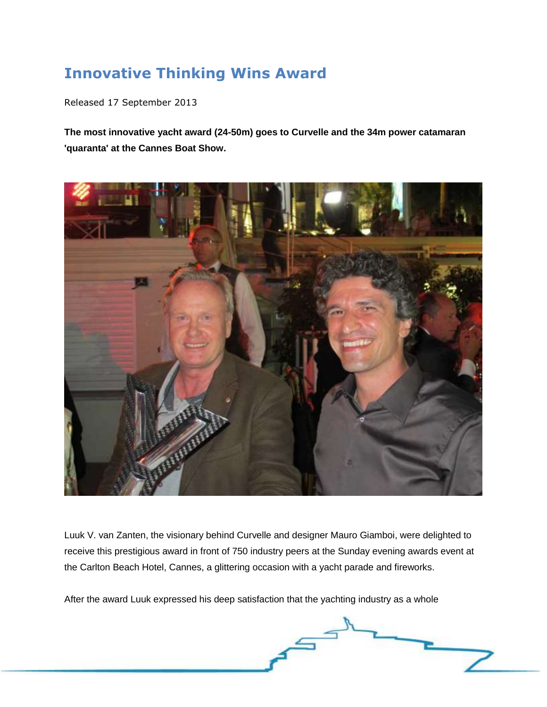## **Innovative Thinking Wins Award**

Released 17 September 2013

**The most innovative yacht award (24-50m) goes to Curvelle and the 34m power catamaran 'quaranta' at the Cannes Boat Show.**



Luuk V. van Zanten, the visionary behind Curvelle and designer Mauro Giamboi, were delighted to receive this prestigious award in front of 750 industry peers at the Sunday evening awards event at the Carlton Beach Hotel, Cannes, a glittering occasion with a yacht parade and fireworks.

 $\overline{\phantom{a}}$ 

After the award Luuk expressed his deep satisfaction that the yachting industry as a whole